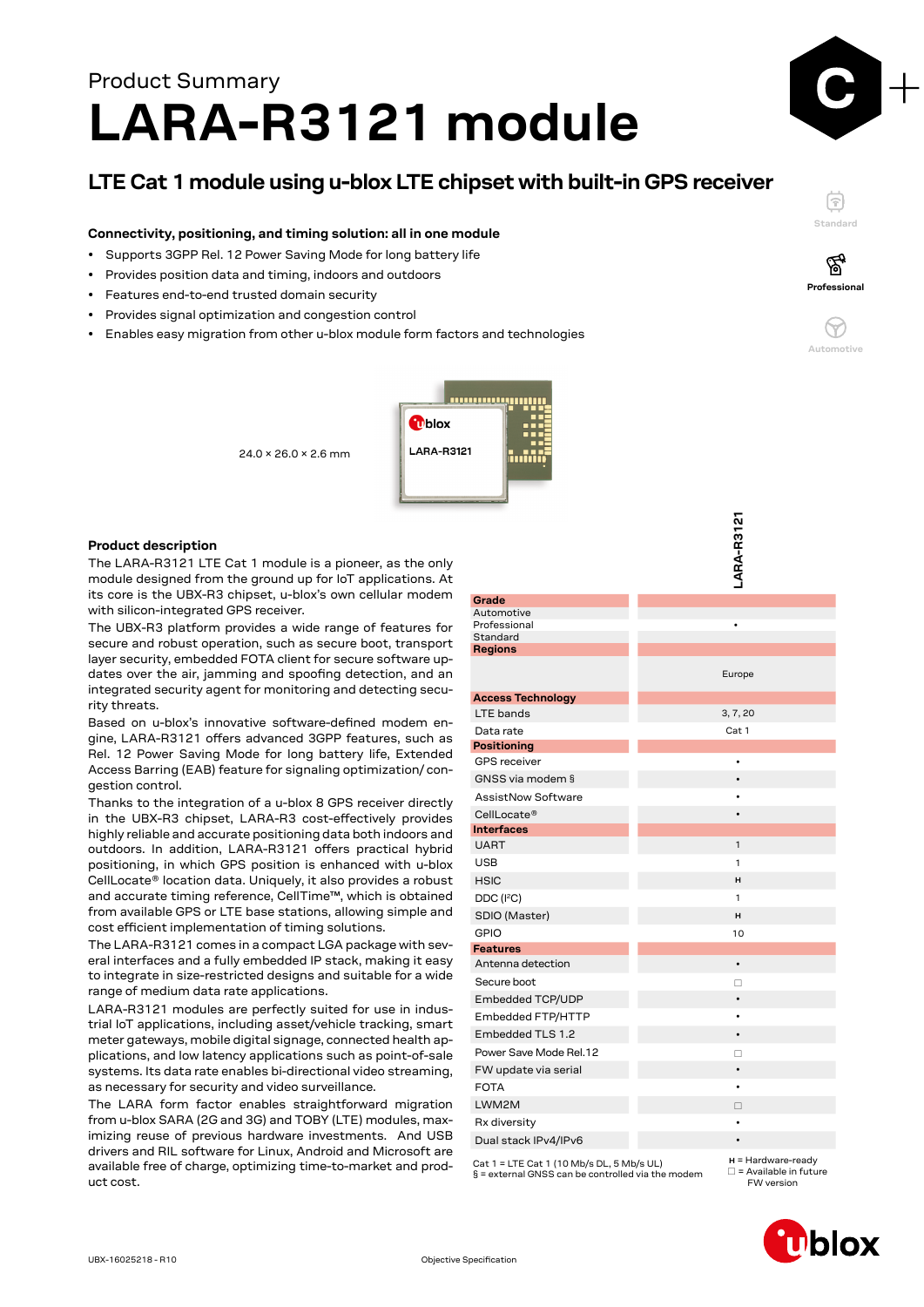# Product Summary **LARA-R3121 module**

# **LTE Cat 1 module using u-blox LTE chipset with built-in GPS receiver**

## **Connectivity, positioning, and timing solution: all in one module**

- Supports 3GPP Rel. 12 Power Saving Mode for long battery life
- Provides position data and timing, indoors and outdoors
- Features end-to-end trusted domain security
- Provides signal optimization and congestion control
- Enables easy migration from other u-blox module form factors and technologies



24.0 × 26.0 × 2.6 mm

### **Product description**

The LARA-R3121 LTE Cat 1 module is a pioneer, as the only module designed from the ground up for IoT applications. At its core is the UBX-R3 chipset, u-blox's own cellular modem with silicon-integrated GPS receiver.

The UBX-R3 platform provides a wide range of features for secure and robust operation, such as secure boot, transport layer security, embedded FOTA client for secure software updates over the air, jamming and spoofing detection, and an integrated security agent for monitoring and detecting security threats.

Based on u-blox's innovative software-defined modem engine, LARA-R3121 offers advanced 3GPP features, such as Rel. 12 Power Saving Mode for long battery life, Extended Access Barring (EAB) feature for signaling optimization/ congestion control.

Thanks to the integration of a u-blox 8 GPS receiver directly in the UBX-R3 chipset, LARA-R3 cost-effectively provides highly reliable and accurate positioning data both indoors and outdoors. In addition, LARA-R3121 offers practical hybrid positioning, in which GPS position is enhanced with u-blox CellLocate® location data. Uniquely, it also provides a robust and accurate timing reference, CellTime™, which is obtained from available GPS or LTE base stations, allowing simple and cost efficient implementation of timing solutions.

The LARA-R3121 comes in a compact LGA package with several interfaces and a fully embedded IP stack, making it easy to integrate in size-restricted designs and suitable for a wide range of medium data rate applications.

LARA-R3121 modules are perfectly suited for use in industrial IoT applications, including asset/vehicle tracking, smart meter gateways, mobile digital signage, connected health applications, and low latency applications such as point-of-sale systems. Its data rate enables bi-directional video streaming, as necessary for security and video surveillance.

The LARA form factor enables straightforward migration from u-blox SARA (2G and 3G) and TOBY (LTE) modules, maximizing reuse of previous hardware investments. And USB drivers and RIL software for Linux, Android and Microsoft are available free of charge, optimizing time-to-market and product cost.

|                                           | LARA-R3121   |
|-------------------------------------------|--------------|
|                                           |              |
|                                           |              |
|                                           |              |
| Grade                                     |              |
| Automotive<br>Professional                |              |
| Standard                                  |              |
| <b>Regions</b>                            |              |
|                                           | Europe       |
|                                           |              |
| <b>Access Technology</b>                  |              |
| LTE bands                                 | 3, 7, 20     |
| Data rate                                 | Cat 1        |
| <b>Positioning</b><br><b>GPS</b> receiver |              |
| GNSS via modem §                          | $\bullet$    |
| <b>AssistNow Software</b>                 |              |
|                                           |              |
| CellLocate®<br><b>Interfaces</b>          |              |
| <b>UART</b>                               | $\mathbf{1}$ |
| <b>USB</b>                                | 1            |
| <b>HSIC</b>                               | н            |
| DDC (I <sup>2</sup> C)                    | 1            |
| SDIO (Master)                             | н            |
| <b>GPIO</b>                               | 10           |
| <b>Features</b>                           |              |
| Antenna detection                         |              |
| Secure boot                               | П            |
| Embedded TCP/UDP                          | $\bullet$    |
| Embedded FTP/HTTP                         | ٠            |
| Embedded TLS 1.2                          |              |
| Power Save Mode Rel.12                    | П            |
| FW update via serial                      |              |
| <b>FOTA</b>                               | $\bullet$    |
| LWM2M                                     | п            |
| Rx diversity                              | ٠            |
| Dual stack IPv4/IPv6                      |              |
|                                           |              |

Cat 1 = LTE Cat 1 (10 Mb/s DL, 5 Mb/s UL) § = external GNSS can be controlled via the modem **H** = Hardware-ready<br>□ = Available in future FW version



**Standard**

F

**Professional**

′ିବୁ

**Automotive**

 $\left(\gamma\right)$ 

| Ublox |
|-------|
|-------|